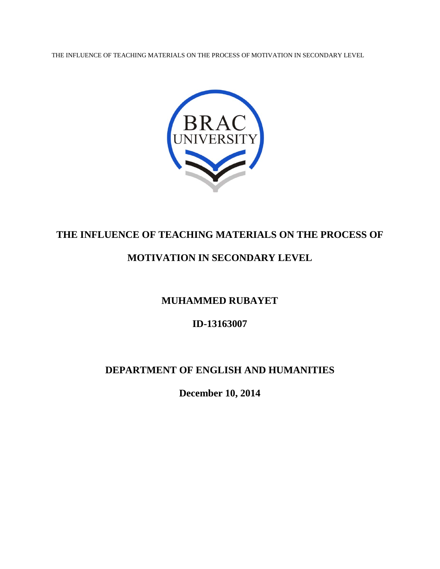THE INFLUENCE OF TEACHING MATERIALS ON THE PROCESS OF MOTIVATION IN SECONDARY LEVEL



# **THE INFLUENCE OF TEACHING MATERIALS ON THE PROCESS OF**

# **MOTIVATION IN SECONDARY LEVEL**

# **MUHAMMED RUBAYET**

# **ID-13163007**

# **DEPARTMENT OF ENGLISH AND HUMANITIES**

**December 10, 2014**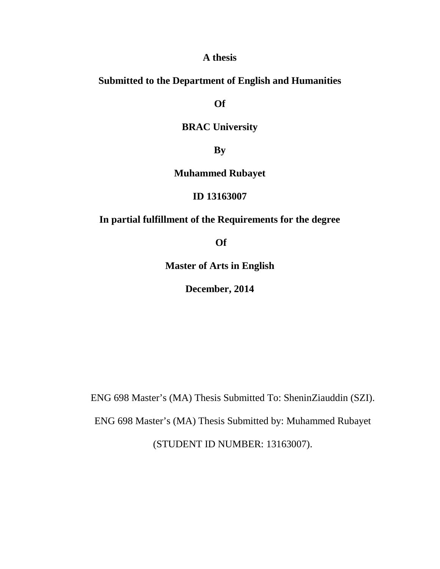## **A thesis**

## **Submitted to the Department of English and Humanities**

**Of** 

## **BRAC University**

**By**

## **Muhammed Rubayet**

## **ID 13163007**

## **In partial fulfillment of the Requirements for the degree**

**Of** 

**Master of Arts in English**

**December, 2014**

ENG 698 Master's (MA) Thesis Submitted To: SheninZiauddin (SZI).

ENG 698 Master's (MA) Thesis Submitted by: Muhammed Rubayet

(STUDENT ID NUMBER: 13163007).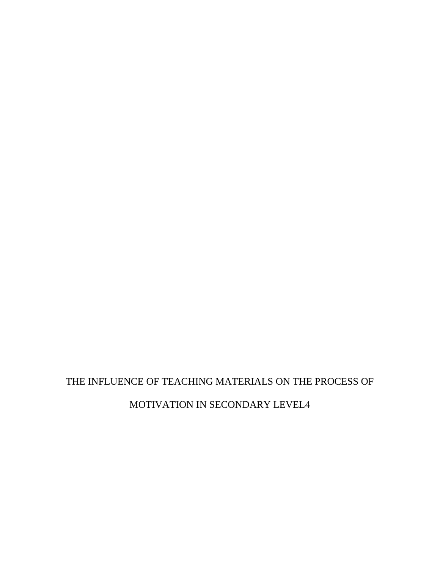# MOTIVATION IN SECONDARY LEVEL4

# THE INFLUENCE OF TEACHING MATERIALS ON THE PROCESS OF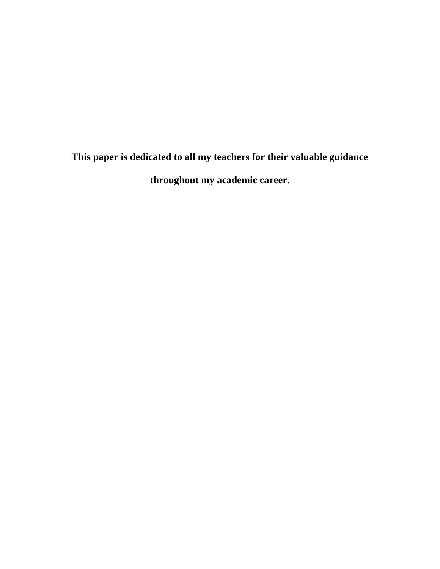**This paper is dedicated to all my teachers for their valuable guidance throughout my academic career.**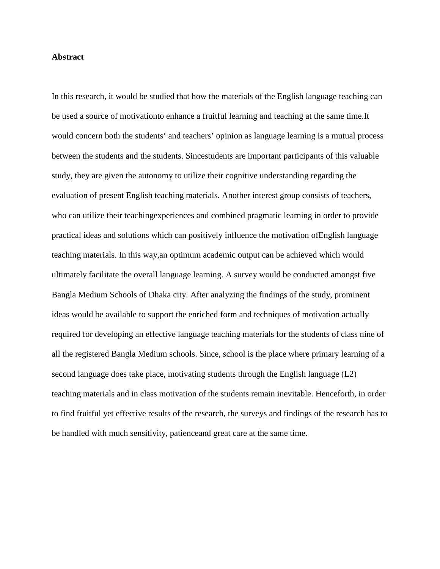#### **Abstract**

In this research, it would be studied that how the materials of the English language teaching can be used a source of motivationto enhance a fruitful learning and teaching at the same time.It would concern both the students' and teachers' opinion as language learning is a mutual process between the students and the students. Sincestudents are important participants of this valuable study, they are given the autonomy to utilize their cognitive understanding regarding the evaluation of present English teaching materials. Another interest group consists of teachers, who can utilize their teachingexperiences and combined pragmatic learning in order to provide practical ideas and solutions which can positively influence the motivation ofEnglish language teaching materials. In this way,an optimum academic output can be achieved which would ultimately facilitate the overall language learning. A survey would be conducted amongst five Bangla Medium Schools of Dhaka city. After analyzing the findings of the study, prominent ideas would be available to support the enriched form and techniques of motivation actually required for developing an effective language teaching materials for the students of class nine of all the registered Bangla Medium schools. Since, school is the place where primary learning of a second language does take place, motivating students through the English language (L2) teaching materials and in class motivation of the students remain inevitable. Henceforth, in order to find fruitful yet effective results of the research, the surveys and findings of the research has to be handled with much sensitivity, patienceand great care at the same time.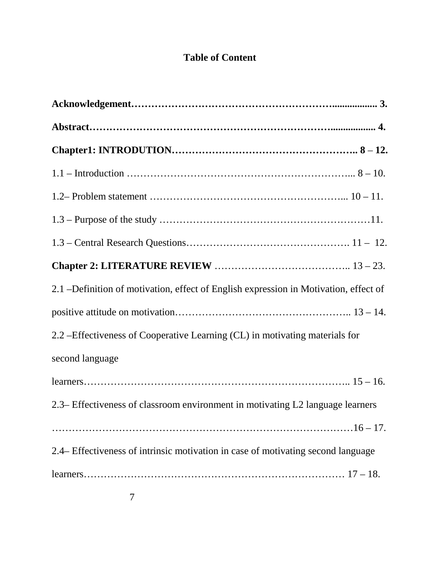# **Table of Content**

| 2.1 – Definition of motivation, effect of English expression in Motivation, effect of |
|---------------------------------------------------------------------------------------|
|                                                                                       |
| 2.2 – Effectiveness of Cooperative Learning (CL) in motivating materials for          |
| second language                                                                       |
|                                                                                       |
| 2.3– Effectiveness of classroom environment in motivating L2 language learners        |
|                                                                                       |
| 2.4– Effectiveness of intrinsic motivation in case of motivating second language      |
|                                                                                       |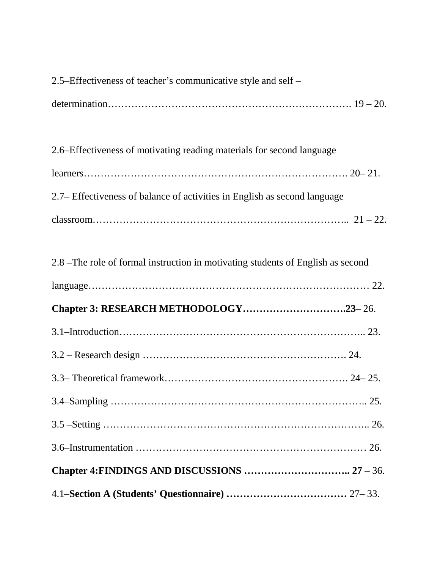| 2.6–Effectiveness of motivating reading materials for second language           |
|---------------------------------------------------------------------------------|
|                                                                                 |
| 2.7– Effectiveness of balance of activities in English as second language       |
|                                                                                 |
|                                                                                 |
| 2.8 –The role of formal instruction in motivating students of English as second |
|                                                                                 |
|                                                                                 |
| Chapter 3: RESEARCH METHODOLOGY23-26.                                           |
|                                                                                 |
|                                                                                 |
|                                                                                 |
|                                                                                 |
|                                                                                 |
|                                                                                 |
|                                                                                 |

2.5–Effectiveness of teacher's communicative style and self –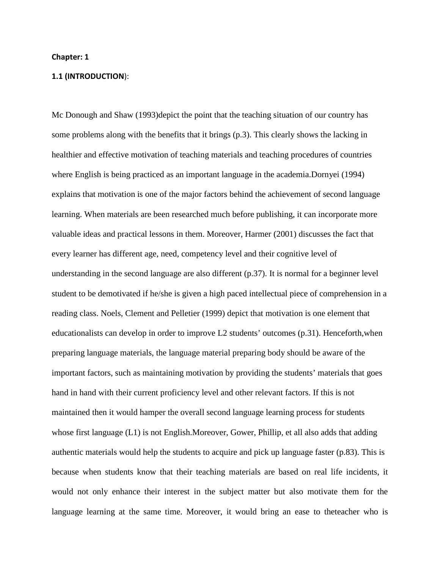#### **Chapter: 1**

#### **1.1 (INTRODUCTION**):

Mc Donough and Shaw (1993)depict the point that the teaching situation of our country has some problems along with the benefits that it brings (p.3). This clearly shows the lacking in healthier and effective motivation of teaching materials and teaching procedures of countries where English is being practiced as an important language in the academia.Dornyei (1994) explains that motivation is one of the major factors behind the achievement of second language learning. When materials are been researched much before publishing, it can incorporate more valuable ideas and practical lessons in them. Moreover, Harmer (2001) discusses the fact that every learner has different age, need, competency level and their cognitive level of understanding in the second language are also different (p.37). It is normal for a beginner level student to be demotivated if he/she is given a high paced intellectual piece of comprehension in a reading class. Noels, Clement and Pelletier (1999) depict that motivation is one element that educationalists can develop in order to improve L2 students' outcomes (p.31). Henceforth,when preparing language materials, the language material preparing body should be aware of the important factors, such as maintaining motivation by providing the students' materials that goes hand in hand with their current proficiency level and other relevant factors. If this is not maintained then it would hamper the overall second language learning process for students whose first language (L1) is not English.Moreover, Gower, Phillip, et all also adds that adding authentic materials would help the students to acquire and pick up language faster (p.83). This is because when students know that their teaching materials are based on real life incidents, it would not only enhance their interest in the subject matter but also motivate them for the language learning at the same time. Moreover, it would bring an ease to theteacher who is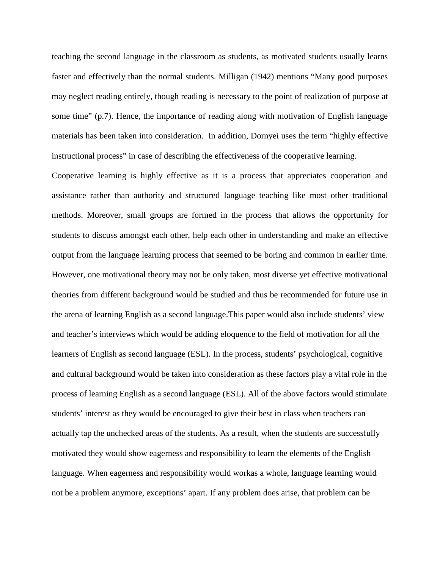teaching the second language in the classroom as students, as motivated students usually learns faster and effectively than the normal students. Milligan (1942) mentions "Many good purposes may neglect reading entirely, though reading is necessary to the point of realization of purpose at some time" (p.7). Hence, the importance of reading along with motivation of English language materials has been taken into consideration. In addition, Dornyei uses the term "highly effective instructional process" in case of describing the effectiveness of the cooperative learning.

Cooperative learning is highly effective as it is a process that appreciates cooperation and assistance rather than authority and structured language teaching like most other traditional methods. Moreover, small groups are formed in the process that allows the opportunity for students to discuss amongst each other, help each other in understanding and make an effective output from the language learning process that seemed to be boring and common in earlier time. However, one motivational theory may not be only taken, most diverse yet effective motivational theories from different background would be studied and thus be recommended for future use in the arena of learning English as a second language.This paper would also include students' view and teacher's interviews which would be adding eloquence to the field of motivation for all the learners of English as second language (ESL). In the process, students' psychological, cognitive and cultural background would be taken into consideration as these factors play a vital role in the process of learning English as a second language (ESL). All of the above factors would stimulate students' interest as they would be encouraged to give their best in class when teachers can actually tap the unchecked areas of the students. As a result, when the students are successfully motivated they would show eagerness and responsibility to learn the elements of the English language. When eagerness and responsibility would workas a whole, language learning would not be a problem anymore, exceptions' apart. If any problem does arise, that problem can be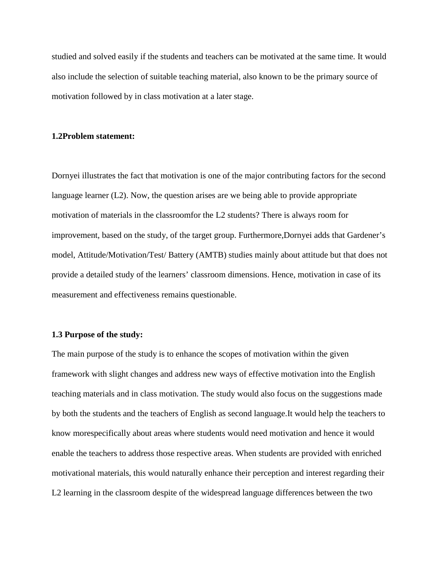studied and solved easily if the students and teachers can be motivated at the same time. It would also include the selection of suitable teaching material, also known to be the primary source of motivation followed by in class motivation at a later stage.

#### **1.2Problem statement:**

Dornyei illustrates the fact that motivation is one of the major contributing factors for the second language learner (L2). Now, the question arises are we being able to provide appropriate motivation of materials in the classroomfor the L2 students? There is always room for improvement, based on the study, of the target group. Furthermore,Dornyei adds that Gardener's model, Attitude/Motivation/Test/ Battery (AMTB) studies mainly about attitude but that does not provide a detailed study of the learners' classroom dimensions. Hence, motivation in case of its measurement and effectiveness remains questionable.

#### **1.3 Purpose of the study:**

The main purpose of the study is to enhance the scopes of motivation within the given framework with slight changes and address new ways of effective motivation into the English teaching materials and in class motivation. The study would also focus on the suggestions made by both the students and the teachers of English as second language.It would help the teachers to know morespecifically about areas where students would need motivation and hence it would enable the teachers to address those respective areas. When students are provided with enriched motivational materials, this would naturally enhance their perception and interest regarding their L2 learning in the classroom despite of the widespread language differences between the two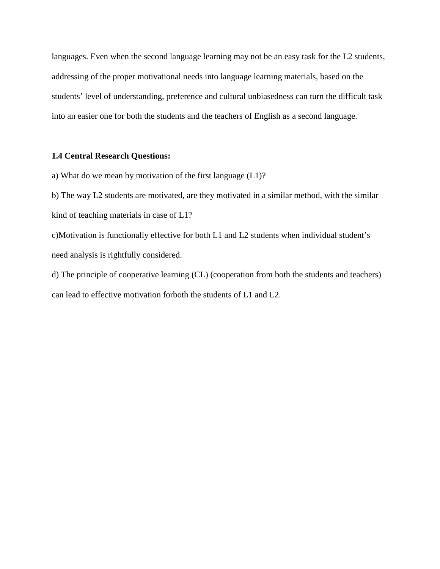languages. Even when the second language learning may not be an easy task for the L2 students, addressing of the proper motivational needs into language learning materials, based on the students' level of understanding, preference and cultural unbiasedness can turn the difficult task into an easier one for both the students and the teachers of English as a second language.

## **1.4 Central Research Questions:**

a) What do we mean by motivation of the first language (L1)?

b) The way L2 students are motivated, are they motivated in a similar method, with the similar kind of teaching materials in case of L1?

c)Motivation is functionally effective for both L1 and L2 students when individual student's need analysis is rightfully considered.

d) The principle of cooperative learning (CL) (cooperation from both the students and teachers) can lead to effective motivation forboth the students of L1 and L2.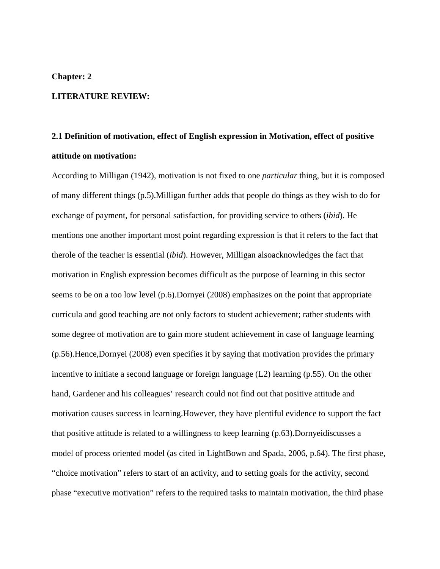### **Chapter: 2**

## **LITERATURE REVIEW:**

# **2.1 Definition of motivation, effect of English expression in Motivation, effect of positive attitude on motivation:**

According to Milligan (1942), motivation is not fixed to one *particular* thing, but it is composed of many different things (p.5).Milligan further adds that people do things as they wish to do for exchange of payment, for personal satisfaction, for providing service to others (*ibid*). He mentions one another important most point regarding expression is that it refers to the fact that therole of the teacher is essential (*ibid*). However, Milligan alsoacknowledges the fact that motivation in English expression becomes difficult as the purpose of learning in this sector seems to be on a too low level (p.6).Dornyei (2008) emphasizes on the point that appropriate curricula and good teaching are not only factors to student achievement; rather students with some degree of motivation are to gain more student achievement in case of language learning (p.56).Hence,Dornyei (2008) even specifies it by saying that motivation provides the primary incentive to initiate a second language or foreign language (L2) learning (p.55). On the other hand, Gardener and his colleagues' research could not find out that positive attitude and motivation causes success in learning.However, they have plentiful evidence to support the fact that positive attitude is related to a willingness to keep learning (p.63).Dornyeidiscusses a model of process oriented model (as cited in LightBown and Spada, 2006, p.64). The first phase, "choice motivation" refers to start of an activity, and to setting goals for the activity, second phase "executive motivation" refers to the required tasks to maintain motivation, the third phase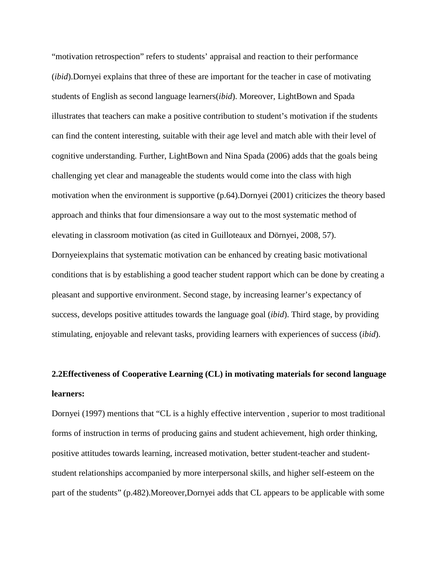"motivation retrospection" refers to students' appraisal and reaction to their performance (*ibid*).Dornyei explains that three of these are important for the teacher in case of motivating students of English as second language learners(*ibid*). Moreover, LightBown and Spada illustrates that teachers can make a positive contribution to student's motivation if the students can find the content interesting, suitable with their age level and match able with their level of cognitive understanding. Further, LightBown and Nina Spada (2006) adds that the goals being challenging yet clear and manageable the students would come into the class with high motivation when the environment is supportive (p.64).Dornyei (2001) criticizes the theory based approach and thinks that four dimensionsare a way out to the most systematic method of elevating in classroom motivation (as cited in Guilloteaux and Dörnyei, 2008, 57). Dornyeiexplains that systematic motivation can be enhanced by creating basic motivational conditions that is by establishing a good teacher student rapport which can be done by creating a pleasant and supportive environment. Second stage, by increasing learner's expectancy of success, develops positive attitudes towards the language goal (*ibid*). Third stage, by providing stimulating, enjoyable and relevant tasks, providing learners with experiences of success (*ibid*).

# **2.2Effectiveness of Cooperative Learning (CL) in motivating materials for second language learners:**

Dornyei (1997) mentions that "CL is a highly effective intervention , superior to most traditional forms of instruction in terms of producing gains and student achievement, high order thinking, positive attitudes towards learning, increased motivation, better student-teacher and studentstudent relationships accompanied by more interpersonal skills, and higher self-esteem on the part of the students" (p.482).Moreover,Dornyei adds that CL appears to be applicable with some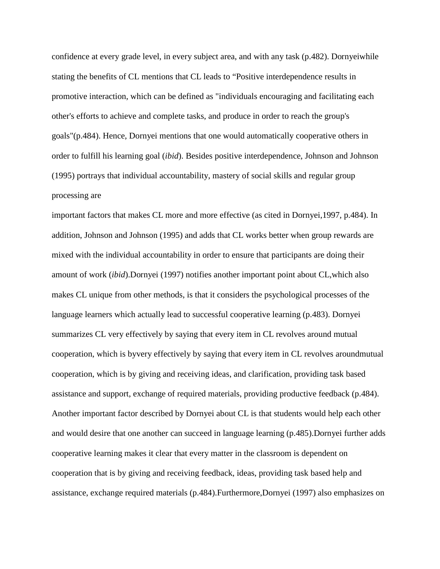confidence at every grade level, in every subject area, and with any task (p.482). Dornyeiwhile stating the benefits of CL mentions that CL leads to "Positive interdependence results in promotive interaction, which can be defined as "individuals encouraging and facilitating each other's efforts to achieve and complete tasks, and produce in order to reach the group's goals"(p.484). Hence, Dornyei mentions that one would automatically cooperative others in order to fulfill his learning goal (*ibid*). Besides positive interdependence, Johnson and Johnson (1995) portrays that individual accountability, mastery of social skills and regular group processing are

important factors that makes CL more and more effective (as cited in Dornyei,1997, p.484). In addition, Johnson and Johnson (1995) and adds that CL works better when group rewards are mixed with the individual accountability in order to ensure that participants are doing their amount of work (*ibid*).Dornyei (1997) notifies another important point about CL,which also makes CL unique from other methods, is that it considers the psychological processes of the language learners which actually lead to successful cooperative learning (p.483). Dornyei summarizes CL very effectively by saying that every item in CL revolves around mutual cooperation, which is byvery effectively by saying that every item in CL revolves aroundmutual cooperation, which is by giving and receiving ideas, and clarification, providing task based assistance and support, exchange of required materials, providing productive feedback (p.484). Another important factor described by Dornyei about CL is that students would help each other and would desire that one another can succeed in language learning (p.485).Dornyei further adds cooperative learning makes it clear that every matter in the classroom is dependent on cooperation that is by giving and receiving feedback, ideas, providing task based help and assistance, exchange required materials (p.484).Furthermore,Dornyei (1997) also emphasizes on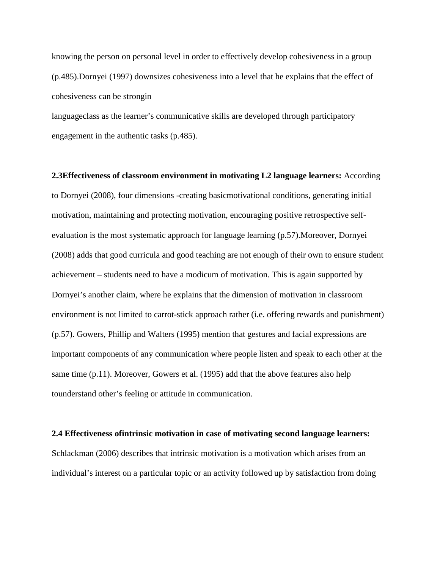knowing the person on personal level in order to effectively develop cohesiveness in a group (p.485).Dornyei (1997) downsizes cohesiveness into a level that he explains that the effect of cohesiveness can be strongin

languageclass as the learner's communicative skills are developed through participatory engagement in the authentic tasks (p.485).

**2.3Effectiveness of classroom environment in motivating L2 language learners:** According to Dornyei (2008), four dimensions -creating basicmotivational conditions, generating initial motivation, maintaining and protecting motivation, encouraging positive retrospective selfevaluation is the most systematic approach for language learning (p.57).Moreover, Dornyei (2008) adds that good curricula and good teaching are not enough of their own to ensure student achievement – students need to have a modicum of motivation. This is again supported by Dornyei's another claim, where he explains that the dimension of motivation in classroom environment is not limited to carrot-stick approach rather (i.e. offering rewards and punishment) (p.57). Gowers, Phillip and Walters (1995) mention that gestures and facial expressions are important components of any communication where people listen and speak to each other at the same time (p.11). Moreover, Gowers et al. (1995) add that the above features also help tounderstand other's feeling or attitude in communication.

#### **2.4 Effectiveness ofintrinsic motivation in case of motivating second language learners:**

Schlackman (2006) describes that intrinsic motivation is a motivation which arises from an individual's interest on a particular topic or an activity followed up by satisfaction from doing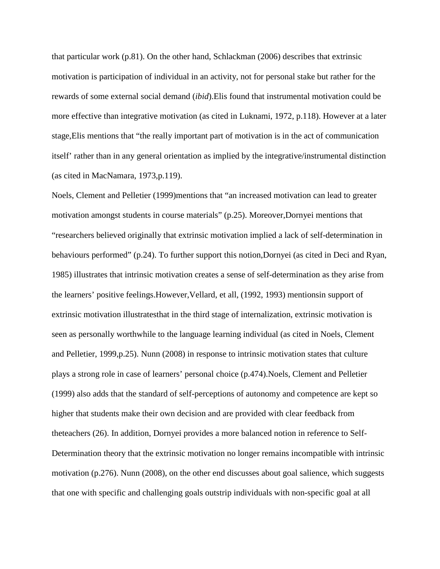that particular work (p.81). On the other hand, Schlackman (2006) describes that extrinsic motivation is participation of individual in an activity, not for personal stake but rather for the rewards of some external social demand (*ibid*).Elis found that instrumental motivation could be more effective than integrative motivation (as cited in Luknami, 1972, p.118). However at a later stage,Elis mentions that "the really important part of motivation is in the act of communication itself' rather than in any general orientation as implied by the integrative/instrumental distinction (as cited in MacNamara, 1973,p.119).

Noels, Clement and Pelletier (1999)mentions that "an increased motivation can lead to greater motivation amongst students in course materials" (p.25). Moreover,Dornyei mentions that "researchers believed originally that extrinsic motivation implied a lack of self-determination in behaviours performed" (p.24). To further support this notion,Dornyei (as cited in Deci and Ryan, 1985) illustrates that intrinsic motivation creates a sense of self-determination as they arise from the learners' positive feelings.However,Vellard, et all, (1992, 1993) mentionsin support of extrinsic motivation illustratesthat in the third stage of internalization, extrinsic motivation is seen as personally worthwhile to the language learning individual (as cited in Noels, Clement and Pelletier, 1999,p.25). Nunn (2008) in response to intrinsic motivation states that culture plays a strong role in case of learners' personal choice (p.474).Noels, Clement and Pelletier (1999) also adds that the standard of self-perceptions of autonomy and competence are kept so higher that students make their own decision and are provided with clear feedback from theteachers (26). In addition, Dornyei provides a more balanced notion in reference to Self-Determination theory that the extrinsic motivation no longer remains incompatible with intrinsic motivation (p.276). Nunn (2008), on the other end discusses about goal salience, which suggests that one with specific and challenging goals outstrip individuals with non-specific goal at all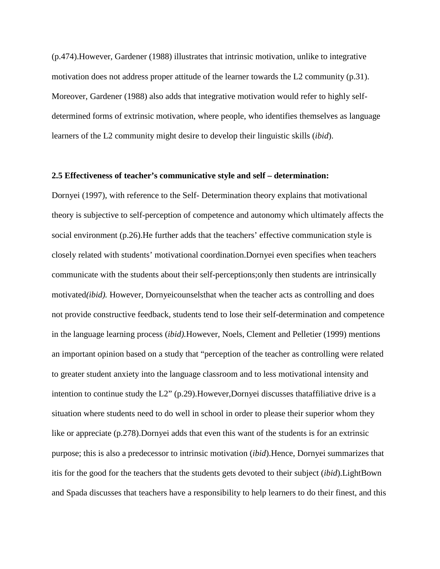(p.474).However, Gardener (1988) illustrates that intrinsic motivation, unlike to integrative motivation does not address proper attitude of the learner towards the L2 community (p.31). Moreover, Gardener (1988) also adds that integrative motivation would refer to highly selfdetermined forms of extrinsic motivation, where people, who identifies themselves as language learners of the L2 community might desire to develop their linguistic skills (*ibid*).

#### **2.5 Effectiveness of teacher's communicative style and self – determination:**

Dornyei (1997), with reference to the Self- Determination theory explains that motivational theory is subjective to self-perception of competence and autonomy which ultimately affects the social environment (p.26).He further adds that the teachers' effective communication style is closely related with students' motivational coordination.Dornyei even specifies when teachers communicate with the students about their self-perceptions;only then students are intrinsically motivated*(ibid).* However, Dornyeicounselsthat when the teacher acts as controlling and does not provide constructive feedback, students tend to lose their self-determination and competence in the language learning process (*ibid).*However, Noels, Clement and Pelletier (1999) mentions an important opinion based on a study that "perception of the teacher as controlling were related to greater student anxiety into the language classroom and to less motivational intensity and intention to continue study the L2" (p.29).However,Dornyei discusses thataffiliative drive is a situation where students need to do well in school in order to please their superior whom they like or appreciate (p.278).Dornyei adds that even this want of the students is for an extrinsic purpose; this is also a predecessor to intrinsic motivation (*ibid*).Hence, Dornyei summarizes that itis for the good for the teachers that the students gets devoted to their subject (*ibid*).LightBown and Spada discusses that teachers have a responsibility to help learners to do their finest, and this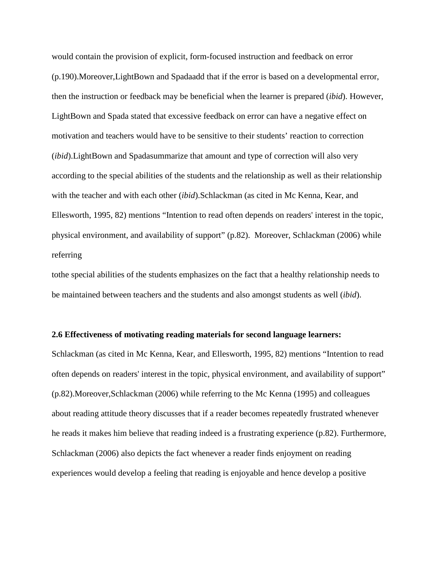would contain the provision of explicit, form-focused instruction and feedback on error (p.190).Moreover,LightBown and Spadaadd that if the error is based on a developmental error, then the instruction or feedback may be beneficial when the learner is prepared (*ibid*). However, LightBown and Spada stated that excessive feedback on error can have a negative effect on motivation and teachers would have to be sensitive to their students' reaction to correction (*ibid*).LightBown and Spadasummarize that amount and type of correction will also very according to the special abilities of the students and the relationship as well as their relationship with the teacher and with each other (*ibid*).Schlackman (as cited in Mc Kenna, Kear, and Ellesworth, 1995, 82) mentions "Intention to read often depends on readers' interest in the topic, physical environment, and availability of support" (p.82). Moreover, Schlackman (2006) while referring

tothe special abilities of the students emphasizes on the fact that a healthy relationship needs to be maintained between teachers and the students and also amongst students as well (*ibid*).

#### **2.6 Effectiveness of motivating reading materials for second language learners:**

Schlackman (as cited in Mc Kenna, Kear, and Ellesworth, 1995, 82) mentions "Intention to read often depends on readers' interest in the topic, physical environment, and availability of support" (p.82).Moreover,Schlackman (2006) while referring to the Mc Kenna (1995) and colleagues about reading attitude theory discusses that if a reader becomes repeatedly frustrated whenever he reads it makes him believe that reading indeed is a frustrating experience (p.82). Furthermore, Schlackman (2006) also depicts the fact whenever a reader finds enjoyment on reading experiences would develop a feeling that reading is enjoyable and hence develop a positive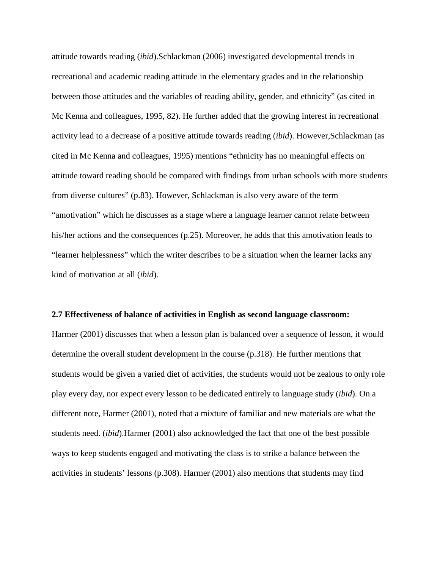attitude towards reading (*ibid*).Schlackman (2006) investigated developmental trends in recreational and academic reading attitude in the elementary grades and in the relationship between those attitudes and the variables of reading ability, gender, and ethnicity" (as cited in Mc Kenna and colleagues, 1995, 82). He further added that the growing interest in recreational activity lead to a decrease of a positive attitude towards reading (*ibid*). However,Schlackman (as cited in Mc Kenna and colleagues, 1995) mentions "ethnicity has no meaningful effects on attitude toward reading should be compared with findings from urban schools with more students from diverse cultures" (p.83). However, Schlackman is also very aware of the term "amotivation" which he discusses as a stage where a language learner cannot relate between his/her actions and the consequences (p.25). Moreover, he adds that this amotivation leads to "learner helplessness" which the writer describes to be a situation when the learner lacks any kind of motivation at all (*ibid*).

#### **2.7 Effectiveness of balance of activities in English as second language classroom:**

Harmer (2001) discusses that when a lesson plan is balanced over a sequence of lesson, it would determine the overall student development in the course (p.318). He further mentions that students would be given a varied diet of activities, the students would not be zealous to only role play every day, nor expect every lesson to be dedicated entirely to language study (*ibid*). On a different note, Harmer (2001), noted that a mixture of familiar and new materials are what the students need. (*ibid*).Harmer (2001) also acknowledged the fact that one of the best possible ways to keep students engaged and motivating the class is to strike a balance between the activities in students' lessons (p.308). Harmer (2001) also mentions that students may find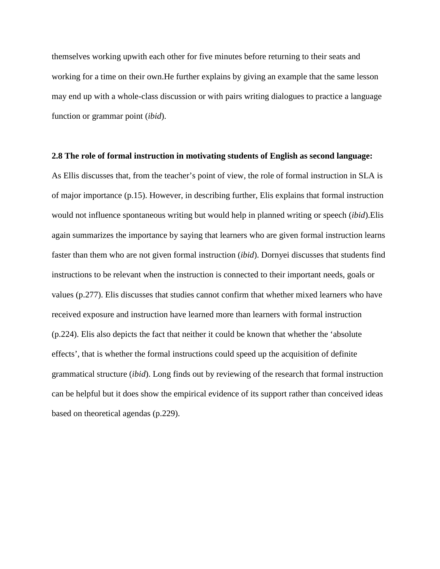themselves working upwith each other for five minutes before returning to their seats and working for a time on their own.He further explains by giving an example that the same lesson may end up with a whole-class discussion or with pairs writing dialogues to practice a language function or grammar point (*ibid*).

#### **2.8 The role of formal instruction in motivating students of English as second language:**

As Ellis discusses that, from the teacher's point of view, the role of formal instruction in SLA is of major importance (p.15). However, in describing further, Elis explains that formal instruction would not influence spontaneous writing but would help in planned writing or speech (*ibid*).Elis again summarizes the importance by saying that learners who are given formal instruction learns faster than them who are not given formal instruction (*ibid*). Dornyei discusses that students find instructions to be relevant when the instruction is connected to their important needs, goals or values (p.277). Elis discusses that studies cannot confirm that whether mixed learners who have received exposure and instruction have learned more than learners with formal instruction (p.224). Elis also depicts the fact that neither it could be known that whether the 'absolute effects', that is whether the formal instructions could speed up the acquisition of definite grammatical structure (*ibid*). Long finds out by reviewing of the research that formal instruction can be helpful but it does show the empirical evidence of its support rather than conceived ideas based on theoretical agendas (p.229).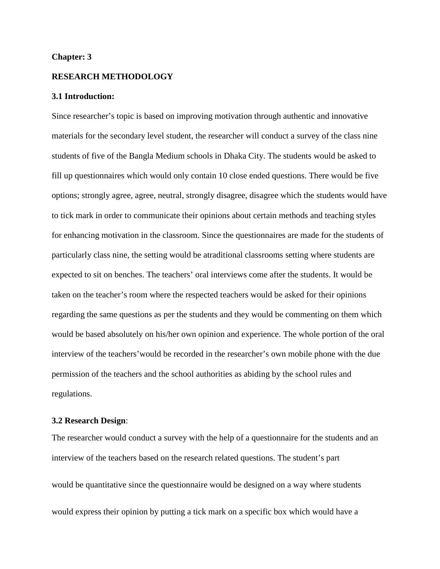#### **Chapter: 3**

#### **RESEARCH METHODOLOGY**

#### **3.1 Introduction:**

Since researcher's topic is based on improving motivation through authentic and innovative materials for the secondary level student, the researcher will conduct a survey of the class nine students of five of the Bangla Medium schools in Dhaka City. The students would be asked to fill up questionnaires which would only contain 10 close ended questions. There would be five options; strongly agree, agree, neutral, strongly disagree, disagree which the students would have to tick mark in order to communicate their opinions about certain methods and teaching styles for enhancing motivation in the classroom. Since the questionnaires are made for the students of particularly class nine, the setting would be atraditional classrooms setting where students are expected to sit on benches. The teachers' oral interviews come after the students. It would be taken on the teacher's room where the respected teachers would be asked for their opinions regarding the same questions as per the students and they would be commenting on them which would be based absolutely on his/her own opinion and experience. The whole portion of the oral interview of the teachers'would be recorded in the researcher's own mobile phone with the due permission of the teachers and the school authorities as abiding by the school rules and regulations.

#### **3.2 Research Design**:

The researcher would conduct a survey with the help of a questionnaire for the students and an interview of the teachers based on the research related questions. The student's part would be quantitative since the questionnaire would be designed on a way where students would express their opinion by putting a tick mark on a specific box which would have a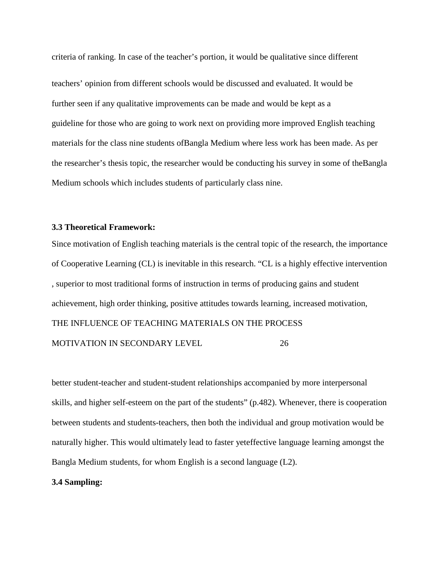criteria of ranking. In case of the teacher's portion, it would be qualitative since different teachers' opinion from different schools would be discussed and evaluated. It would be further seen if any qualitative improvements can be made and would be kept as a guideline for those who are going to work next on providing more improved English teaching materials for the class nine students ofBangla Medium where less work has been made. As per the researcher's thesis topic, the researcher would be conducting his survey in some of theBangla Medium schools which includes students of particularly class nine.

## **3.3 Theoretical Framework:**

Since motivation of English teaching materials is the central topic of the research, the importance of Cooperative Learning (CL) is inevitable in this research. "CL is a highly effective intervention , superior to most traditional forms of instruction in terms of producing gains and student achievement, high order thinking, positive attitudes towards learning, increased motivation, THE INFLUENCE OF TEACHING MATERIALS ON THE PROCESS MOTIVATION IN SECONDARY LEVEL 26

better student-teacher and student-student relationships accompanied by more interpersonal skills, and higher self-esteem on the part of the students" (p.482). Whenever, there is cooperation between students and students-teachers, then both the individual and group motivation would be naturally higher. This would ultimately lead to faster yeteffective language learning amongst the Bangla Medium students, for whom English is a second language (L2).

#### **3.4 Sampling:**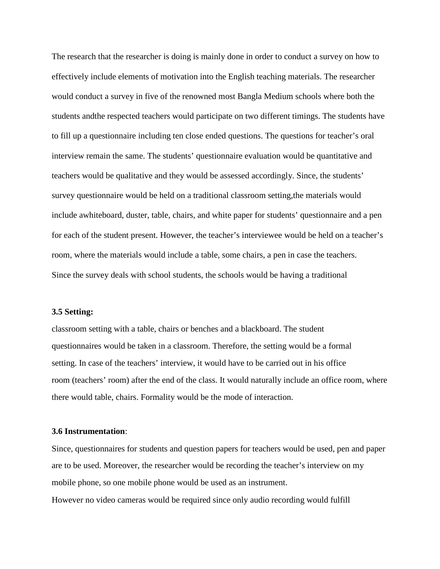The research that the researcher is doing is mainly done in order to conduct a survey on how to effectively include elements of motivation into the English teaching materials. The researcher would conduct a survey in five of the renowned most Bangla Medium schools where both the students andthe respected teachers would participate on two different timings. The students have to fill up a questionnaire including ten close ended questions. The questions for teacher's oral interview remain the same. The students' questionnaire evaluation would be quantitative and teachers would be qualitative and they would be assessed accordingly. Since, the students' survey questionnaire would be held on a traditional classroom setting,the materials would include awhiteboard, duster, table, chairs, and white paper for students' questionnaire and a pen for each of the student present. However, the teacher's interviewee would be held on a teacher's room, where the materials would include a table, some chairs, a pen in case the teachers. Since the survey deals with school students, the schools would be having a traditional

### **3.5 Setting:**

classroom setting with a table, chairs or benches and a blackboard. The student questionnaires would be taken in a classroom. Therefore, the setting would be a formal setting. In case of the teachers' interview, it would have to be carried out in his office room (teachers' room) after the end of the class. It would naturally include an office room, where there would table, chairs. Formality would be the mode of interaction.

#### **3.6 Instrumentation**:

Since, questionnaires for students and question papers for teachers would be used, pen and paper are to be used. Moreover, the researcher would be recording the teacher's interview on my mobile phone, so one mobile phone would be used as an instrument.

However no video cameras would be required since only audio recording would fulfill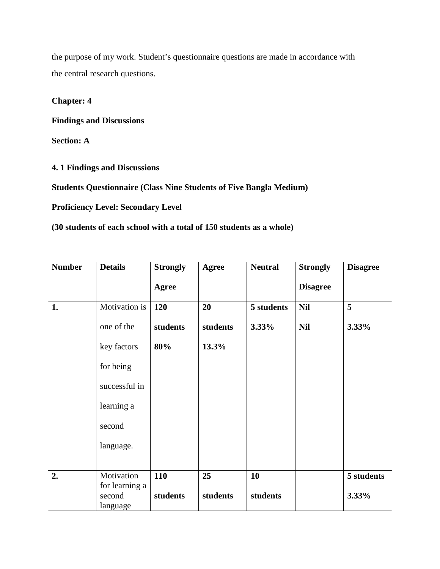the purpose of my work. Student's questionnaire questions are made in accordance with the central research questions.

## **Chapter: 4**

**Findings and Discussions**

**Section: A**

**4. 1 Findings and Discussions**

**Students Questionnaire (Class Nine Students of Five Bangla Medium)**

**Proficiency Level: Secondary Level**

**(30 students of each school with a total of 150 students as a whole)**

| <b>Number</b> | <b>Details</b>                       | <b>Strongly</b> | Agree    | <b>Neutral</b> | <b>Strongly</b> | <b>Disagree</b> |
|---------------|--------------------------------------|-----------------|----------|----------------|-----------------|-----------------|
|               |                                      | <b>Agree</b>    |          |                | <b>Disagree</b> |                 |
| 1.            | Motivation is                        | 120             | 20       | 5 students     | <b>Nil</b>      | 5               |
|               | one of the                           | students        | students | 3.33%          | <b>Nil</b>      | 3.33%           |
|               | key factors                          | 80%             | 13.3%    |                |                 |                 |
|               | for being                            |                 |          |                |                 |                 |
|               | successful in                        |                 |          |                |                 |                 |
|               | learning a                           |                 |          |                |                 |                 |
|               | second                               |                 |          |                |                 |                 |
|               | language.                            |                 |          |                |                 |                 |
|               |                                      |                 |          |                |                 |                 |
| 2.            | Motivation                           | 110             | 25       | 10             |                 | 5 students      |
|               | for learning a<br>second<br>language | students        | students | students       |                 | 3.33%           |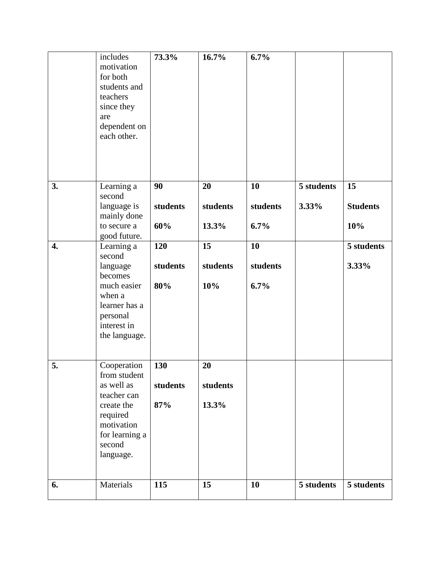|    | includes<br>motivation<br>for both<br>students and<br>teachers<br>since they                                                              | 73.3%                  | 16.7%                   | 6.7%                   |                     |                       |
|----|-------------------------------------------------------------------------------------------------------------------------------------------|------------------------|-------------------------|------------------------|---------------------|-----------------------|
|    | are<br>dependent on<br>each other.                                                                                                        |                        |                         |                        |                     |                       |
| 3. | Learning a<br>second<br>language is                                                                                                       | 90<br>students         | 20<br>students          | 10<br>students         | 5 students<br>3.33% | 15<br><b>Students</b> |
|    | mainly done<br>to secure a<br>good future.                                                                                                | 60%                    | 13.3%                   | 6.7%                   |                     | 10%                   |
| 4. | Learning a<br>second<br>language<br>becomes<br>much easier<br>when a<br>learner has a<br>personal<br>interest in<br>the language.         | 120<br>students<br>80% | 15<br>students<br>10%   | 10<br>students<br>6.7% |                     | 5 students<br>3.33%   |
| 5. | Cooperation<br>from student<br>as well as<br>teacher can<br>create the<br>required<br>motivation<br>for learning a<br>second<br>language. | 130<br>students<br>87% | 20<br>students<br>13.3% |                        |                     |                       |
| 6. | Materials                                                                                                                                 | 115                    | 15                      | 10                     | 5 students          | 5 students            |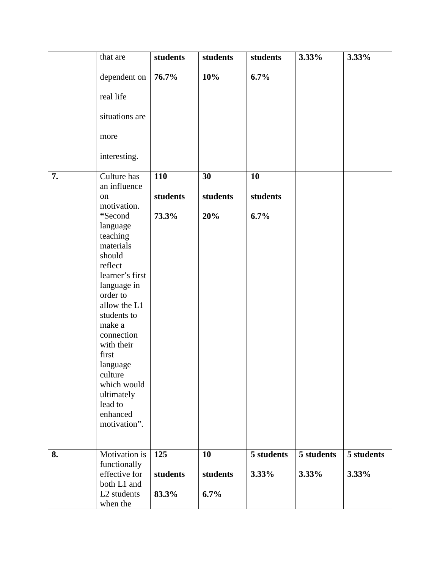|    | that are                          | students | students | students   | 3.33%      | 3.33%      |
|----|-----------------------------------|----------|----------|------------|------------|------------|
|    | dependent on                      | 76.7%    | 10%      | 6.7%       |            |            |
|    | real life                         |          |          |            |            |            |
|    | situations are                    |          |          |            |            |            |
|    | more                              |          |          |            |            |            |
|    | interesting.                      |          |          |            |            |            |
| 7. | Culture has                       | 110      | 30       | 10         |            |            |
|    | an influence<br>on<br>motivation. | students | students | students   |            |            |
|    | "Second                           | 73.3%    | 20%      | 6.7%       |            |            |
|    | language<br>teaching              |          |          |            |            |            |
|    | materials                         |          |          |            |            |            |
|    | should<br>reflect                 |          |          |            |            |            |
|    | learner's first                   |          |          |            |            |            |
|    | language in                       |          |          |            |            |            |
|    | order to                          |          |          |            |            |            |
|    | allow the L1                      |          |          |            |            |            |
|    | students to<br>make a             |          |          |            |            |            |
|    | connection                        |          |          |            |            |            |
|    | with their                        |          |          |            |            |            |
|    | first                             |          |          |            |            |            |
|    | language                          |          |          |            |            |            |
|    | culture                           |          |          |            |            |            |
|    | which would<br>ultimately         |          |          |            |            |            |
|    | lead to                           |          |          |            |            |            |
|    | enhanced                          |          |          |            |            |            |
|    | motivation".                      |          |          |            |            |            |
|    |                                   |          |          |            |            |            |
| 8. | Motivation is                     | 125      | 10       | 5 students | 5 students | 5 students |
|    | functionally                      |          |          |            |            |            |
|    | effective for                     | students | students | 3.33%      | 3.33%      | 3.33%      |
|    | both L1 and                       |          |          |            |            |            |
|    | L2 students                       | 83.3%    | 6.7%     |            |            |            |
|    | when the                          |          |          |            |            |            |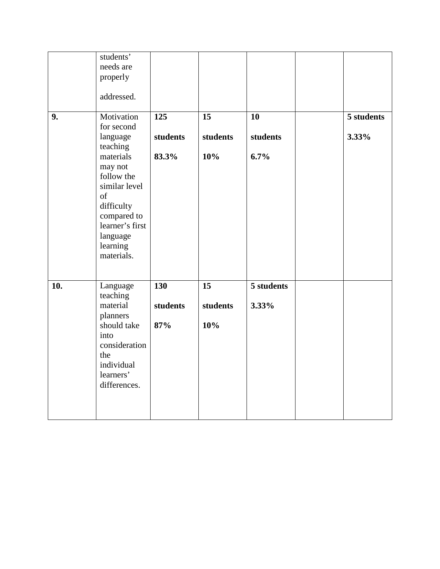|     | students'<br>needs are<br>properly                                                                                                     |                               |                       |                        |                     |
|-----|----------------------------------------------------------------------------------------------------------------------------------------|-------------------------------|-----------------------|------------------------|---------------------|
|     | addressed.                                                                                                                             |                               |                       |                        |                     |
| 9.  | Motivation<br>for second<br>language<br>teaching<br>materials                                                                          | 125<br>students<br>83.3%      | 15<br>students<br>10% | 10<br>students<br>6.7% | 5 students<br>3.33% |
|     | may not<br>follow the<br>similar level<br>of<br>difficulty<br>compared to<br>learner's first<br>language<br>learning<br>materials.     |                               |                       |                        |                     |
| 10. | Language<br>teaching<br>material<br>planners<br>should take<br>into<br>consideration<br>the<br>individual<br>learners'<br>differences. | <b>130</b><br>students<br>87% | 15<br>students<br>10% | 5 students<br>3.33%    |                     |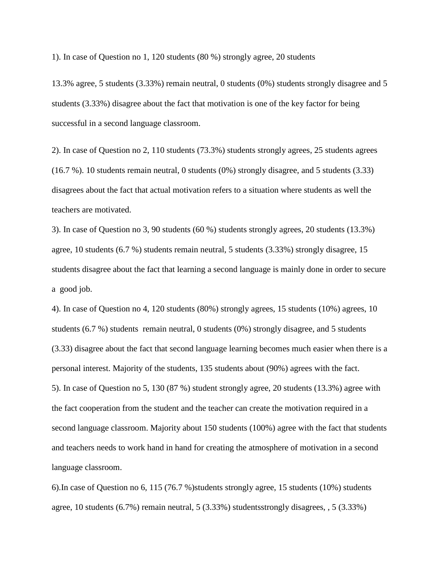1). In case of Question no 1, 120 students (80 %) strongly agree, 20 students

13.3% agree, 5 students (3.33%) remain neutral, 0 students (0%) students strongly disagree and 5 students (3.33%) disagree about the fact that motivation is one of the key factor for being successful in a second language classroom.

2). In case of Question no 2, 110 students (73.3%) students strongly agrees, 25 students agrees (16.7 %). 10 students remain neutral, 0 students (0%) strongly disagree, and 5 students (3.33) disagrees about the fact that actual motivation refers to a situation where students as well the teachers are motivated.

3). In case of Question no 3, 90 students (60 %) students strongly agrees, 20 students (13.3%) agree, 10 students (6.7 %) students remain neutral, 5 students (3.33%) strongly disagree, 15 students disagree about the fact that learning a second language is mainly done in order to secure a good job.

4). In case of Question no 4, 120 students (80%) strongly agrees, 15 students (10%) agrees, 10 students (6.7 %) students remain neutral, 0 students (0%) strongly disagree, and 5 students (3.33) disagree about the fact that second language learning becomes much easier when there is a personal interest. Majority of the students, 135 students about (90%) agrees with the fact. 5). In case of Question no 5, 130 (87 %) student strongly agree, 20 students (13.3%) agree with the fact cooperation from the student and the teacher can create the motivation required in a second language classroom. Majority about 150 students (100%) agree with the fact that students and teachers needs to work hand in hand for creating the atmosphere of motivation in a second language classroom.

6).In case of Question no 6, 115 (76.7 %)students strongly agree, 15 students (10%) students agree, 10 students (6.7%) remain neutral, 5 (3.33%) studentsstrongly disagrees, , 5 (3.33%)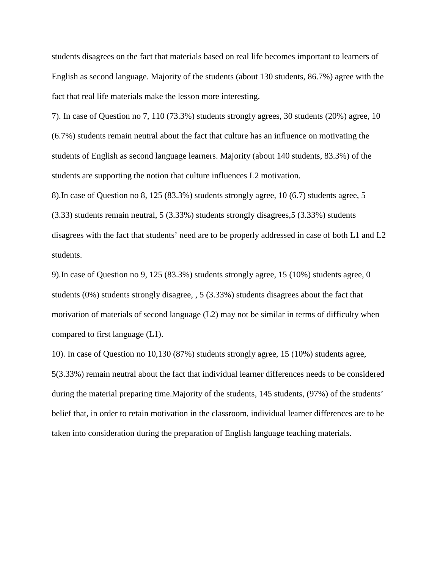students disagrees on the fact that materials based on real life becomes important to learners of English as second language. Majority of the students (about 130 students, 86.7%) agree with the fact that real life materials make the lesson more interesting.

7). In case of Question no 7, 110 (73.3%) students strongly agrees, 30 students (20%) agree, 10 (6.7%) students remain neutral about the fact that culture has an influence on motivating the students of English as second language learners. Majority (about 140 students, 83.3%) of the students are supporting the notion that culture influences L2 motivation.

8).In case of Question no 8, 125 (83.3%) students strongly agree, 10 (6.7) students agree, 5 (3.33) students remain neutral, 5 (3.33%) students strongly disagrees,5 (3.33%) students disagrees with the fact that students' need are to be properly addressed in case of both L1 and L2 students.

9).In case of Question no 9, 125 (83.3%) students strongly agree, 15 (10%) students agree, 0 students (0%) students strongly disagree, , 5 (3.33%) students disagrees about the fact that motivation of materials of second language (L2) may not be similar in terms of difficulty when compared to first language (L1).

10). In case of Question no 10,130 (87%) students strongly agree, 15 (10%) students agree, 5(3.33%) remain neutral about the fact that individual learner differences needs to be considered during the material preparing time.Majority of the students, 145 students, (97%) of the students' belief that, in order to retain motivation in the classroom, individual learner differences are to be taken into consideration during the preparation of English language teaching materials.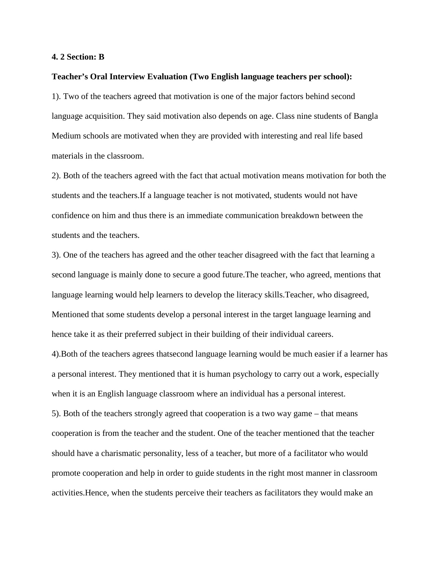#### **4. 2 Section: B**

#### **Teacher's Oral Interview Evaluation (Two English language teachers per school):**

1). Two of the teachers agreed that motivation is one of the major factors behind second language acquisition. They said motivation also depends on age. Class nine students of Bangla Medium schools are motivated when they are provided with interesting and real life based materials in the classroom.

2). Both of the teachers agreed with the fact that actual motivation means motivation for both the students and the teachers.If a language teacher is not motivated, students would not have confidence on him and thus there is an immediate communication breakdown between the students and the teachers.

3). One of the teachers has agreed and the other teacher disagreed with the fact that learning a second language is mainly done to secure a good future.The teacher, who agreed, mentions that language learning would help learners to develop the literacy skills.Teacher, who disagreed, Mentioned that some students develop a personal interest in the target language learning and hence take it as their preferred subject in their building of their individual careers.

4).Both of the teachers agrees thatsecond language learning would be much easier if a learner has a personal interest. They mentioned that it is human psychology to carry out a work, especially when it is an English language classroom where an individual has a personal interest.

5). Both of the teachers strongly agreed that cooperation is a two way game – that means cooperation is from the teacher and the student. One of the teacher mentioned that the teacher should have a charismatic personality, less of a teacher, but more of a facilitator who would promote cooperation and help in order to guide students in the right most manner in classroom activities.Hence, when the students perceive their teachers as facilitators they would make an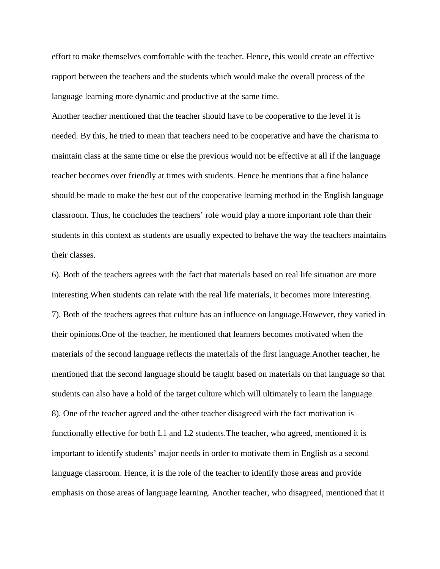effort to make themselves comfortable with the teacher. Hence, this would create an effective rapport between the teachers and the students which would make the overall process of the language learning more dynamic and productive at the same time.

Another teacher mentioned that the teacher should have to be cooperative to the level it is needed. By this, he tried to mean that teachers need to be cooperative and have the charisma to maintain class at the same time or else the previous would not be effective at all if the language teacher becomes over friendly at times with students. Hence he mentions that a fine balance should be made to make the best out of the cooperative learning method in the English language classroom. Thus, he concludes the teachers' role would play a more important role than their students in this context as students are usually expected to behave the way the teachers maintains their classes.

6). Both of the teachers agrees with the fact that materials based on real life situation are more interesting.When students can relate with the real life materials, it becomes more interesting. 7). Both of the teachers agrees that culture has an influence on language.However, they varied in their opinions.One of the teacher, he mentioned that learners becomes motivated when the materials of the second language reflects the materials of the first language.Another teacher, he mentioned that the second language should be taught based on materials on that language so that students can also have a hold of the target culture which will ultimately to learn the language. 8). One of the teacher agreed and the other teacher disagreed with the fact motivation is functionally effective for both L1 and L2 students.The teacher, who agreed, mentioned it is important to identify students' major needs in order to motivate them in English as a second language classroom. Hence, it is the role of the teacher to identify those areas and provide emphasis on those areas of language learning. Another teacher, who disagreed, mentioned that it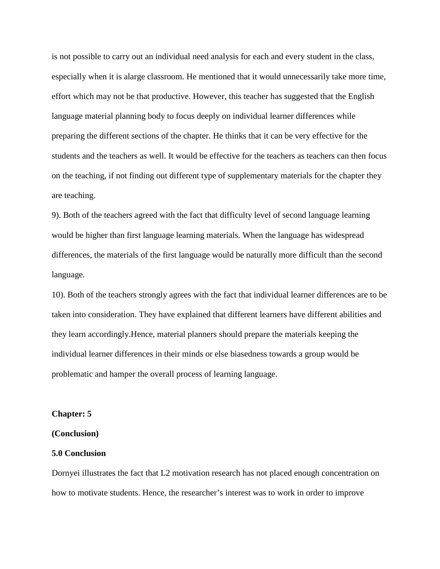is not possible to carry out an individual need analysis for each and every student in the class, especially when it is alarge classroom. He mentioned that it would unnecessarily take more time, effort which may not be that productive. However, this teacher has suggested that the English language material planning body to focus deeply on individual learner differences while preparing the different sections of the chapter. He thinks that it can be very effective for the students and the teachers as well. It would be effective for the teachers as teachers can then focus on the teaching, if not finding out different type of supplementary materials for the chapter they are teaching.

9). Both of the teachers agreed with the fact that difficulty level of second language learning would be higher than first language learning materials. When the language has widespread differences, the materials of the first language would be naturally more difficult than the second language.

10). Both of the teachers strongly agrees with the fact that individual learner differences are to be taken into consideration. They have explained that different learners have different abilities and they learn accordingly.Hence, material planners should prepare the materials keeping the individual learner differences in their minds or else biasedness towards a group would be problematic and hamper the overall process of learning language.

#### **Chapter: 5**

#### **(Conclusion)**

#### **5.0 Conclusion**

Dornyei illustrates the fact that L2 motivation research has not placed enough concentration on how to motivate students. Hence, the researcher's interest was to work in order to improve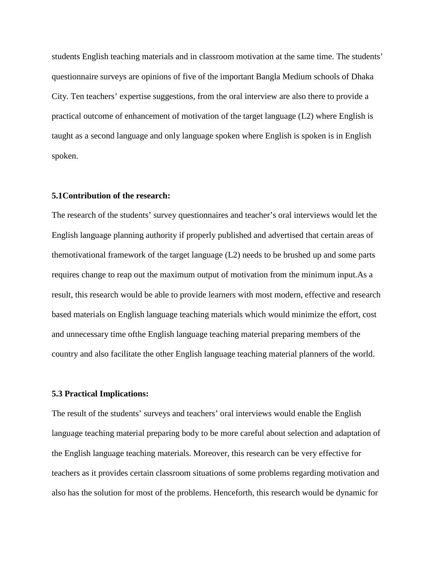students English teaching materials and in classroom motivation at the same time. The students' questionnaire surveys are opinions of five of the important Bangla Medium schools of Dhaka City. Ten teachers' expertise suggestions, from the oral interview are also there to provide a practical outcome of enhancement of motivation of the target language (L2) where English is taught as a second language and only language spoken where English is spoken is in English spoken.

#### **5.1Contribution of the research:**

The research of the students' survey questionnaires and teacher's oral interviews would let the English language planning authority if properly published and advertised that certain areas of themotivational framework of the target language (L2) needs to be brushed up and some parts requires change to reap out the maximum output of motivation from the minimum input.As a result, this research would be able to provide learners with most modern, effective and research based materials on English language teaching materials which would minimize the effort, cost and unnecessary time ofthe English language teaching material preparing members of the country and also facilitate the other English language teaching material planners of the world.

#### **5.3 Practical Implications:**

The result of the students' surveys and teachers' oral interviews would enable the English language teaching material preparing body to be more careful about selection and adaptation of the English language teaching materials. Moreover, this research can be very effective for teachers as it provides certain classroom situations of some problems regarding motivation and also has the solution for most of the problems. Henceforth, this research would be dynamic for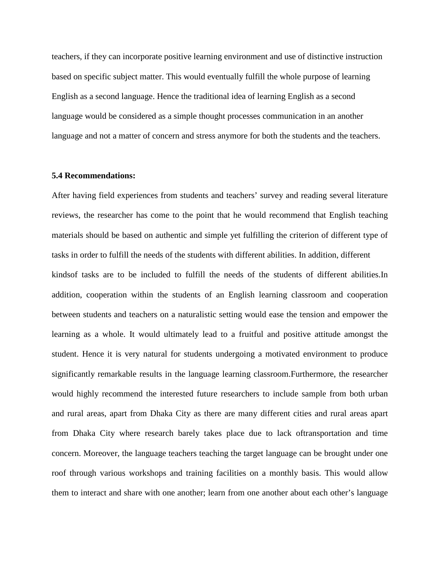teachers, if they can incorporate positive learning environment and use of distinctive instruction based on specific subject matter. This would eventually fulfill the whole purpose of learning English as a second language. Hence the traditional idea of learning English as a second language would be considered as a simple thought processes communication in an another language and not a matter of concern and stress anymore for both the students and the teachers.

#### **5.4 Recommendations:**

After having field experiences from students and teachers' survey and reading several literature reviews, the researcher has come to the point that he would recommend that English teaching materials should be based on authentic and simple yet fulfilling the criterion of different type of tasks in order to fulfill the needs of the students with different abilities. In addition, different kindsof tasks are to be included to fulfill the needs of the students of different abilities.In addition, cooperation within the students of an English learning classroom and cooperation between students and teachers on a naturalistic setting would ease the tension and empower the learning as a whole. It would ultimately lead to a fruitful and positive attitude amongst the student. Hence it is very natural for students undergoing a motivated environment to produce significantly remarkable results in the language learning classroom.Furthermore, the researcher would highly recommend the interested future researchers to include sample from both urban and rural areas, apart from Dhaka City as there are many different cities and rural areas apart from Dhaka City where research barely takes place due to lack oftransportation and time concern. Moreover, the language teachers teaching the target language can be brought under one roof through various workshops and training facilities on a monthly basis. This would allow them to interact and share with one another; learn from one another about each other's language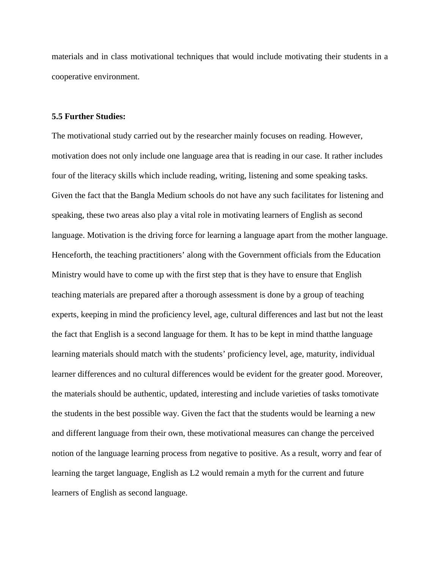materials and in class motivational techniques that would include motivating their students in a cooperative environment.

### **5.5 Further Studies:**

The motivational study carried out by the researcher mainly focuses on reading. However, motivation does not only include one language area that is reading in our case. It rather includes four of the literacy skills which include reading, writing, listening and some speaking tasks. Given the fact that the Bangla Medium schools do not have any such facilitates for listening and speaking, these two areas also play a vital role in motivating learners of English as second language. Motivation is the driving force for learning a language apart from the mother language. Henceforth, the teaching practitioners' along with the Government officials from the Education Ministry would have to come up with the first step that is they have to ensure that English teaching materials are prepared after a thorough assessment is done by a group of teaching experts, keeping in mind the proficiency level, age, cultural differences and last but not the least the fact that English is a second language for them. It has to be kept in mind thatthe language learning materials should match with the students' proficiency level, age, maturity, individual learner differences and no cultural differences would be evident for the greater good. Moreover, the materials should be authentic, updated, interesting and include varieties of tasks tomotivate the students in the best possible way. Given the fact that the students would be learning a new and different language from their own, these motivational measures can change the perceived notion of the language learning process from negative to positive. As a result, worry and fear of learning the target language, English as L2 would remain a myth for the current and future learners of English as second language.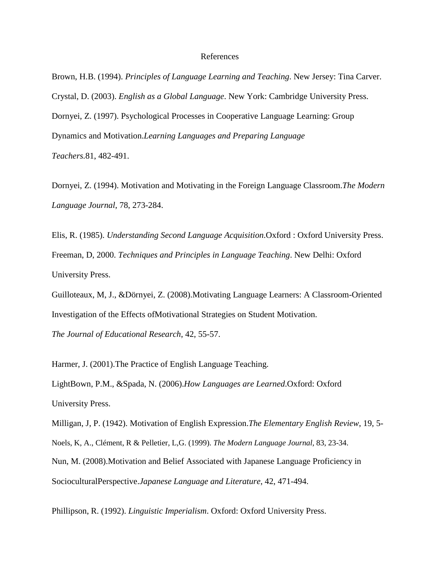#### References

Brown, H.B. (1994). *Principles of Language Learning and Teaching*. New Jersey: Tina Carver. Crystal, D. (2003). *English as a Global Language*. New York: Cambridge University Press. Dornyei, Z. (1997). Psychological Processes in Cooperative Language Learning: Group Dynamics and Motivation.*Learning Languages and Preparing Language Teachers.*81, 482-491.

Dornyei, Z. (1994). Motivation and Motivating in the Foreign Language Classroom.*The Modern Language Journal*, 78, 273-284.

Elis, R. (1985). *Understanding Second Language Acquisition*.Oxford : Oxford University Press. Freeman, D, 2000. *Techniques and Principles in Language Teaching*. New Delhi: Oxford University Press.

Guilloteaux, M, J., &Dörnyei, Z. (2008).Motivating Language Learners: A Classroom-Oriented Investigation of the Effects ofMotivational Strategies on Student Motivation.

*The Journal of Educational Research*, 42, 55-57.

Harmer, J. (2001).The Practice of English Language Teaching.

LightBown, P.M., &Spada, N. (2006).*How Languages are Learned*.Oxford: Oxford University Press.

Milligan, J, P. (1942). Motivation of English Expression.*The Elementary English Review*, 19, 5- Noels, K, A., Clément, R & Pelletier, L,G. (1999). *The Modern Language Journal*, 83, 23-34. Nun, M. (2008).Motivation and Belief Associated with Japanese Language Proficiency in SocioculturalPerspective.*Japanese Language and Literature*, 42, 471-494.

Phillipson, R. (1992). *Linguistic Imperialism*. Oxford: Oxford University Press.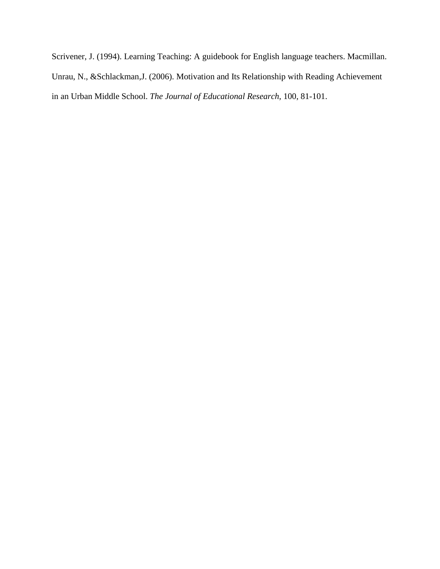Scrivener, J. (1994). Learning Teaching: A guidebook for English language teachers. Macmillan. Unrau, N., &Schlackman,J. (2006). Motivation and Its Relationship with Reading Achievement in an Urban Middle School. *The Journal of Educational Research,* 100, 81-101.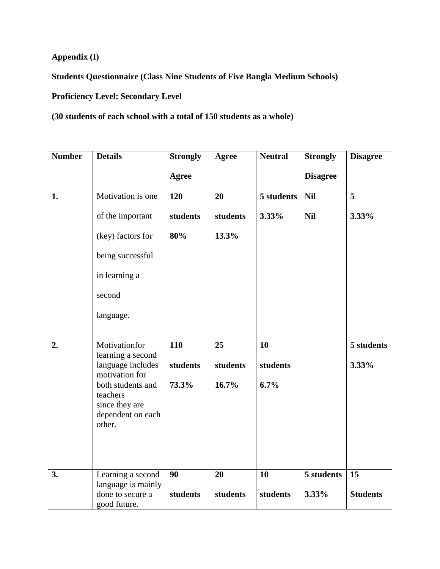**Appendix (I)**

**Students Questionnaire (Class Nine Students of Five Bangla Medium Schools)**

**Proficiency Level: Secondary Level**

**(30 students of each school with a total of 150 students as a whole)**

| <b>Number</b> | <b>Details</b>                                                                 | <b>Strongly</b> | Agree          | <b>Neutral</b> | <b>Strongly</b> | <b>Disagree</b>     |
|---------------|--------------------------------------------------------------------------------|-----------------|----------------|----------------|-----------------|---------------------|
|               |                                                                                | Agree           |                |                | <b>Disagree</b> |                     |
| 1.            | Motivation is one                                                              | 120             | 20             | 5 students     | <b>Nil</b>      | 5                   |
|               | of the important                                                               | students        | students       | 3.33%          | <b>Nil</b>      | 3.33%               |
|               | (key) factors for                                                              | 80%             | 13.3%          |                |                 |                     |
|               | being successful                                                               |                 |                |                |                 |                     |
|               | in learning a                                                                  |                 |                |                |                 |                     |
|               | second                                                                         |                 |                |                |                 |                     |
|               | language.                                                                      |                 |                |                |                 |                     |
|               |                                                                                |                 |                |                |                 |                     |
| 2.            | Motivationfor<br>learning a second<br>language includes<br>motivation for      | 110<br>students | 25<br>students | 10<br>students |                 | 5 students<br>3.33% |
|               | both students and<br>teachers<br>since they are<br>dependent on each<br>other. | 73.3%           | 16.7%          | 6.7%           |                 |                     |
| 3.            | Learning a second                                                              | 90              | 20             | 10             | 5 students      | 15                  |
|               | language is mainly<br>done to secure a<br>good future.                         | students        | students       | students       | 3.33%           | <b>Students</b>     |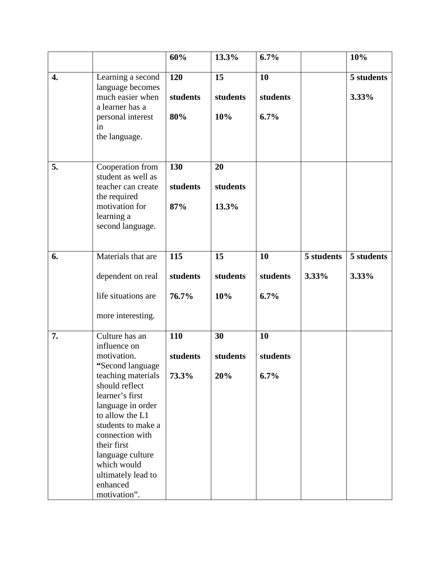|                  |                                                                                                                                                                                                                                                                                                                   | 60%                      | 13.3%                   | 6.7%                      |                     | 10%                 |
|------------------|-------------------------------------------------------------------------------------------------------------------------------------------------------------------------------------------------------------------------------------------------------------------------------------------------------------------|--------------------------|-------------------------|---------------------------|---------------------|---------------------|
| $\overline{4}$ . | Learning a second<br>language becomes<br>much easier when<br>a learner has a<br>personal interest<br>in<br>the language.                                                                                                                                                                                          | 120<br>students<br>80%   | 15<br>students<br>10%   | 10<br>students<br>$6.7\%$ |                     | 5 students<br>3.33% |
| 5.               | Cooperation from<br>student as well as<br>teacher can create<br>the required<br>motivation for<br>learning a<br>second language.                                                                                                                                                                                  | 130<br>students<br>87%   | 20<br>students<br>13.3% |                           |                     |                     |
| 6.               | Materials that are<br>dependent on real<br>life situations are<br>more interesting.                                                                                                                                                                                                                               | 115<br>students<br>76.7% | 15<br>students<br>10%   | 10<br>students<br>6.7%    | 5 students<br>3.33% | 5 students<br>3.33% |
| 7.               | Culture has an<br>influence on<br>motivation.<br>"Second language<br>teaching materials<br>should reflect<br>learner's first<br>language in order<br>to allow the L1<br>students to make a<br>connection with<br>their first<br>language culture<br>which would<br>ultimately lead to<br>enhanced<br>motivation". | 110<br>students<br>73.3% | 30<br>students<br>20%   | 10<br>students<br>$6.7\%$ |                     |                     |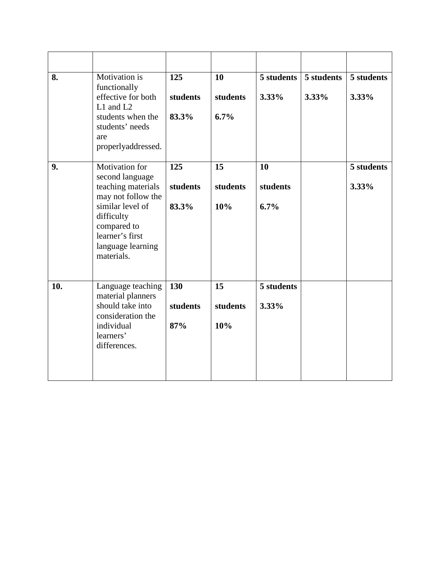| 8.  | Motivation is<br>functionally<br>effective for both<br>L1 and L2<br>students when the<br>students' needs<br>are<br>properlyaddressed.                                                | 125<br>students<br>83.3% | 10<br>students<br>6.7% | 5 students<br>3.33%    | 5 students<br>3.33% | 5 students<br>3.33% |
|-----|--------------------------------------------------------------------------------------------------------------------------------------------------------------------------------------|--------------------------|------------------------|------------------------|---------------------|---------------------|
| 9.  | Motivation for<br>second language<br>teaching materials<br>may not follow the<br>similar level of<br>difficulty<br>compared to<br>learner's first<br>language learning<br>materials. | 125<br>students<br>83.3% | 15<br>students<br>10%  | 10<br>students<br>6.7% |                     | 5 students<br>3.33% |
| 10. | Language teaching<br>material planners<br>should take into<br>consideration the<br>individual<br>learners'<br>differences.                                                           | 130<br>students<br>87%   | 15<br>students<br>10%  | 5 students<br>3.33%    |                     |                     |